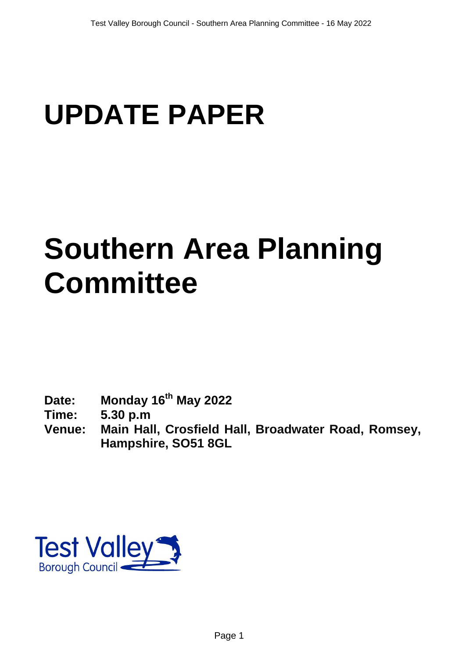# **UPDATE PAPER**

# **Southern Area Planning Committee**

- **Date: Monday 16th May 2022**
- **Time: 5.30 p.m**
- **Venue: Main Hall, Crosfield Hall, Broadwater Road, Romsey, Hampshire, SO51 8GL**

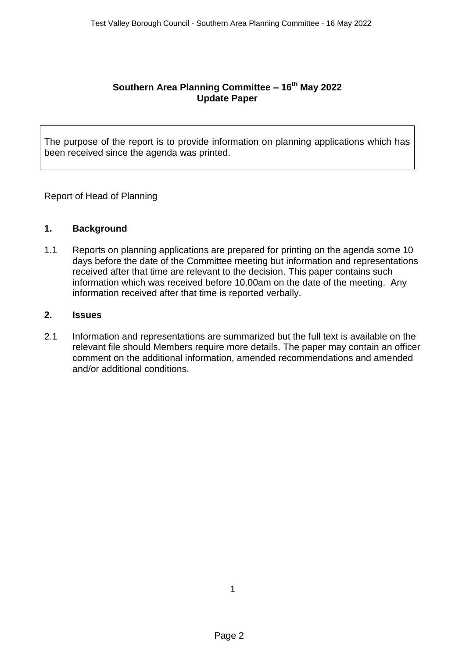## **Southern Area Planning Committee – 16th May 2022 Update Paper**

The purpose of the report is to provide information on planning applications which has been received since the agenda was printed.

Report of Head of Planning

#### **1. Background**

1.1 Reports on planning applications are prepared for printing on the agenda some 10 days before the date of the Committee meeting but information and representations received after that time are relevant to the decision. This paper contains such information which was received before 10.00am on the date of the meeting. Any information received after that time is reported verbally.

## **2. Issues**

2.1 Information and representations are summarized but the full text is available on the relevant file should Members require more details. The paper may contain an officer comment on the additional information, amended recommendations and amended and/or additional conditions.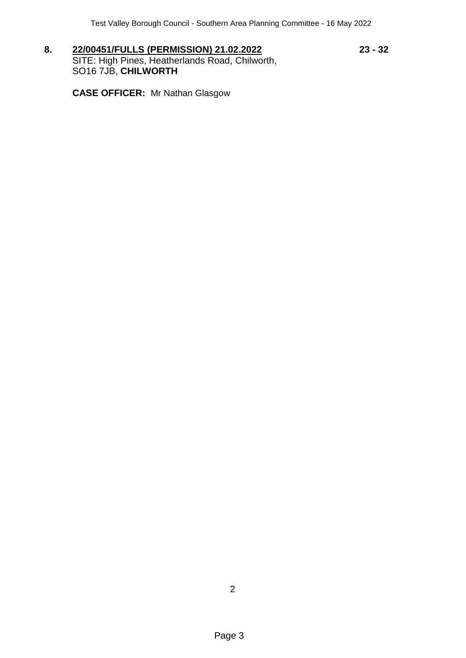**8. 22/00451/FULLS (PERMISSION) 21.02.2022 23 - 32** SITE: High Pines, Heatherlands Road, Chilworth, SO16 7JB, **CHILWORTH**

**CASE OFFICER:** Mr Nathan Glasgow